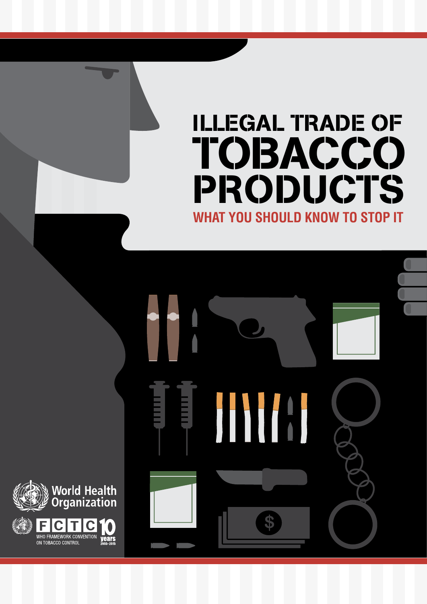# **WHAT YOU SHOULD KNOW TO STOP IT** ILLEGAL TRADE OF **TOBACCO** PRODUCTS

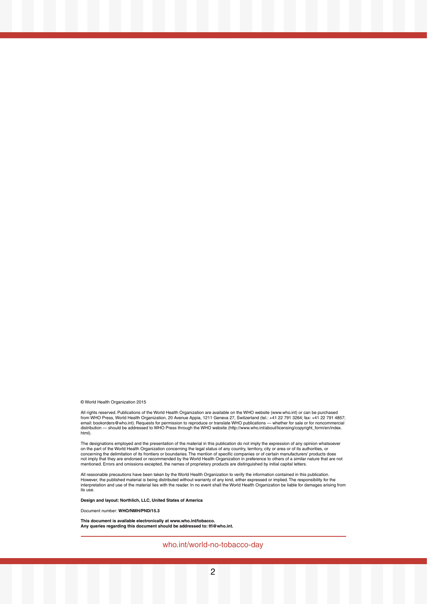#### © World Health Organization 2015

All rights reserved. Publications of the World Health Organization are available on the WHO website (www.who.int) or can be purchased from WHO Press, World Health Organization, 20 Avenue Appia, 1211 Geneva 27, Switzerland (tel.: +41 22 791 3264; fax: +41 22 791 4857;<br>email: bookorders@who.int). Requests for permission to reproduce or translate WHO public distribution — should be addressed to WHO Press through the WHO website (http://www.who.int/about/licensing/copyright\_form/en/index. html).

The designations employed and the presentation of the material in this publication do not imply the expression of any opinion whatsoever<br>on the part of the World Health Organization concerning the legal status of any count mentioned. Errors and omissions excepted, the names of proprietary products are distinguished by initial capital letters.

All reasonable precautions have been taken by the World Health Organization to verify the information contained in this publication.<br>However, the published material is being distributed without warranty of any kind, either its use.

**Design and layout: Northlich, LLC, United States of America**

Document number: **WHO/NMH/PND/15.3**

**This document is available electronically at www.who.int/tobacco. Any queries regarding this document should be addressed to: tfi@who.int.**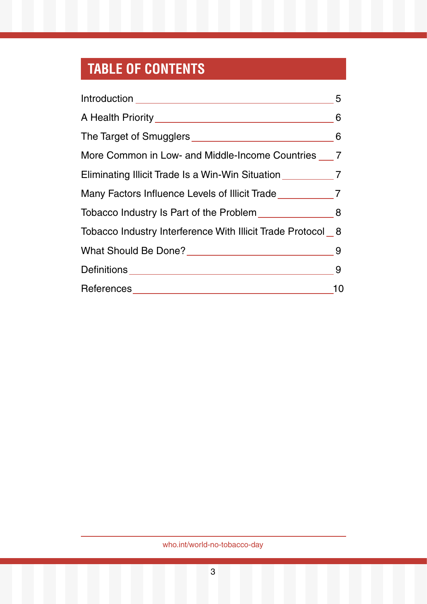# **TABLE OF CONTENTS**

|                                                                   | 5   |
|-------------------------------------------------------------------|-----|
|                                                                   | 6   |
|                                                                   |     |
| More Common in Low- and Middle-Income Countries 7                 |     |
| Eliminating Illicit Trade Is a Win-Win Situation _______________7 |     |
| Many Factors Influence Levels of Illicit Trade                    |     |
| Tobacco Industry Is Part of the Problem 11 11 2012 18             |     |
| Tobacco Industry Interference With Illicit Trade Protocol 8       |     |
|                                                                   | - 9 |
| Definitions __________________________________                    | 9   |
| References____________________________                            | 10  |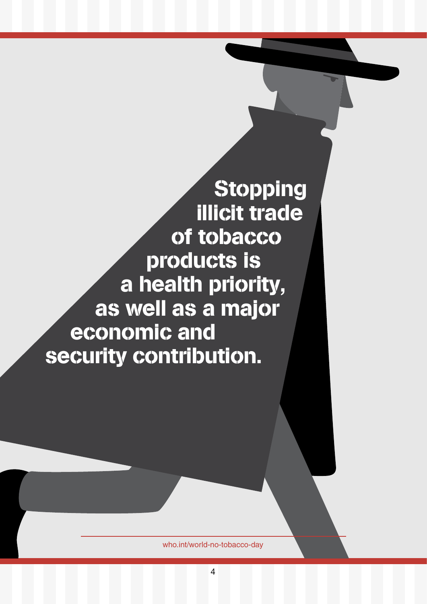**Stopping** illicit trade of tobacco products is a health priority, as well as a major economic and security contribution.

who.int/world-no-tobacco-day

4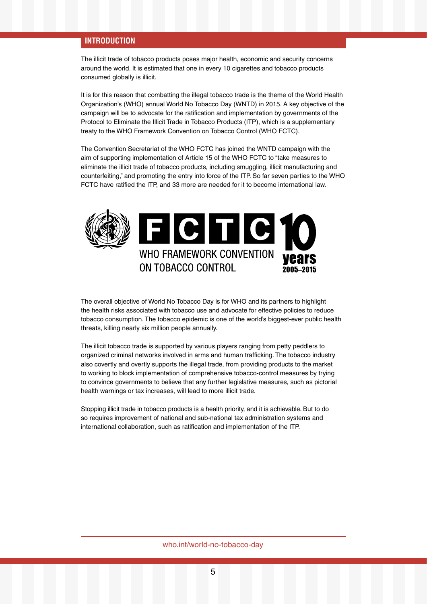# **INTRODUCTION**

The illicit trade of tobacco products poses major health, economic and security concerns around the world. It is estimated that one in every 10 cigarettes and tobacco products consumed globally is illicit.

It is for this reason that combatting the illegal tobacco trade is the theme of the World Health Organization's (WHO) annual World No Tobacco Day (WNTD) in 2015. A key objective of the campaign will be to advocate for the ratification and implementation by governments of the Protocol to Eliminate the Illicit Trade in Tobacco Products (ITP), which is a supplementary treaty to the WHO Framework Convention on Tobacco Control (WHO FCTC).

**KEY FACTS** FCTC have ratified the ITP, and 33 more are needed for it to become international law. The Convention Secretariat of the WHO FCTC has joined the WNTD campaign with the aim of supporting implementation of Article 15 of the WHO FCTC to "take measures to eliminate the illicit trade of tobacco products, including smuggling, illicit manufacturing and counterfeiting," and promoting the entry into force of the ITP. So far seven parties to the WHO



The overall objective of World No Tobacco Day is for WHO and its partners to highlight the health risks associated with tobacco use and advocate for effective policies to reduce tobacco consumption. The tobacco epidemic is one of the world's biggest-ever public health threats, killing nearly six million people annually.

The illicit tobacco trade is supported by various players ranging from petty peddlers to organized criminal networks involved in arms and human trafficking. The tobacco industry also covertly and overtly supports the illegal trade, from providing products to the market to working to block implementation of comprehensive tobacco-control measures by trying to convince governments to believe that any further legislative measures, such as pictorial health warnings or tax increases, will lead to more illicit trade.

Stopping illicit trade in tobacco products is a health priority, and it is achievable. But to do so requires improvement of national and sub-national tax administration systems and international collaboration, such as ratification and implementation of the ITP.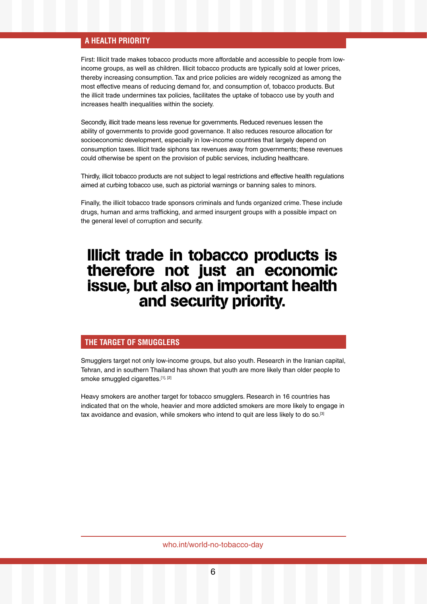# **A HEALTH PRIORITY**

First: Illicit trade makes tobacco products more affordable and accessible to people from lowincome groups, as well as children. Illicit tobacco products are typically sold at lower prices, thereby increasing consumption. Tax and price policies are widely recognized as among the most effective means of reducing demand for, and consumption of, tobacco products. But the illicit trade undermines tax policies, facilitates the uptake of tobacco use by youth and increases health inequalities within the society.

Secondly, illicit trade means less revenue for governments. Reduced revenues lessen the ability of governments to provide good governance. It also reduces resource allocation for socioeconomic development, especially in low-income countries that largely depend on consumption taxes. Illicit trade siphons tax revenues away from governments; these revenues could otherwise be spent on the provision of public services, including healthcare.

Thirdly, illicit tobacco products are not subject to legal restrictions and effective health regulations aimed at curbing tobacco use, such as pictorial warnings or banning sales to minors.

Finally, the illicit tobacco trade sponsors criminals and funds organized crime. These include drugs, human and arms trafficking, and armed insurgent groups with a possible impact on the general level of corruption and security.

# Illicit trade in tobacco products is therefore not just an economic issue, but also an important health and security priority.

# **THE TARGET OF SMUGGLERS**

Smugglers target not only low-income groups, but also youth. Research in the Iranian capital, Tehran, and in southern Thailand has shown that youth are more likely than older people to smoke smuggled cigarettes.[1], [2]

Heavy smokers are another target for tobacco smugglers. Research in 16 countries has indicated that on the whole, heavier and more addicted smokers are more likely to engage in tax avoidance and evasion, while smokers who intend to quit are less likely to do so.<sup>[3]</sup>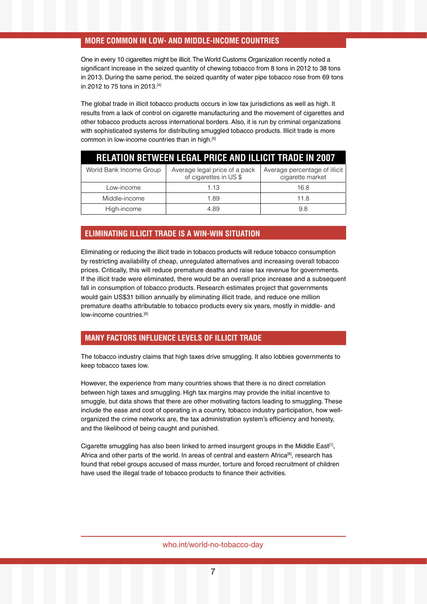# **MORE COMMON IN LOW- AND MIDDLE-INCOME COUNTRIES**

One in every 10 cigarettes might be illicit. The World Customs Organization recently noted a significant increase in the seized quantity of chewing tobacco from 8 tons in 2012 to 38 tons in 2013. During the same period, the seized quantity of water pipe tobacco rose from 69 tons in 2012 to 75 tons in 2013.[4]

The global trade in illicit tobacco products occurs in low tax jurisdictions as well as high. It results from a lack of control on cigarette manufacturing and the movement of cigarettes and other tobacco products across international borders. Also, it is run by criminal organizations with sophisticated systems for distributing smuggled tobacco products. Illicit trade is more common in low-income countries than in high.[5]

| <b>RELATION BETWEEN LEGAL PRICE AND ILLICIT TRADE IN 2007</b> |                                                        |                                                   |
|---------------------------------------------------------------|--------------------------------------------------------|---------------------------------------------------|
| World Bank Income Group                                       | Average legal price of a pack<br>of cigarettes in US\$ | Average percentage of illicit<br>cigarette market |
| Low-income                                                    | 1.13                                                   | 16.8                                              |
| Middle-income                                                 | 1.89                                                   | 11.8                                              |
| High-income                                                   | 4.89                                                   | 9.8                                               |

# **ELIMINATING ILLICIT TRADE IS A WIN-WIN SITUATION**

Eliminating or reducing the illicit trade in tobacco products will reduce tobacco consumption by restricting availability of cheap, unregulated alternatives and increasing overall tobacco prices. Critically, this will reduce premature deaths and raise tax revenue for governments. If the illicit trade were eliminated, there would be an overall price increase and a subsequent fall in consumption of tobacco products. Research estimates project that governments would gain US\$31 billion annually by eliminating illicit trade, and reduce one million premature deaths attributable to tobacco products every six years, mostly in middle- and low-income countries.[6]

# **MANY FACTORS INFLUENCE LEVELS OF ILLICIT TRADE**

The tobacco industry claims that high taxes drive smuggling. It also lobbies governments to keep tobacco taxes low.

However, the experience from many countries shows that there is no direct correlation between high taxes and smuggling. High tax margins may provide the initial incentive to smuggle, but data shows that there are other motivating factors leading to smuggling. These include the ease and cost of operating in a country, tobacco industry participation, how wellorganized the crime networks are, the tax administration system's efficiency and honesty, and the likelihood of being caught and punished.

Cigarette smuggling has also been linked to armed insurgent groups in the Middle East<sup>[7]</sup>, Africa and other parts of the world. In areas of central and eastern Africa<sup>[8]</sup>, research has found that rebel groups accused of mass murder, torture and forced recruitment of children have used the illegal trade of tobacco products to finance their activities.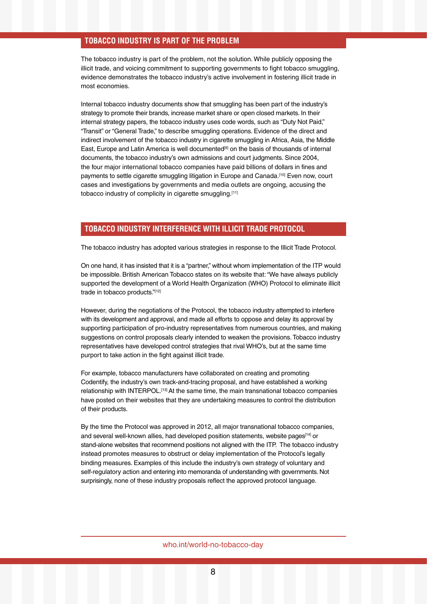# **TOBACCO INDUSTRY IS PART OF THE PROBLEM**

The tobacco industry is part of the problem, not the solution. While publicly opposing the illicit trade, and voicing commitment to supporting governments to fight tobacco smuggling, evidence demonstrates the tobacco industry's active involvement in fostering illicit trade in most economies.

Internal tobacco industry documents show that smuggling has been part of the industry's strategy to promote their brands, increase market share or open closed markets. In their internal strategy papers, the tobacco industry uses code words, such as "Duty Not Paid," "Transit" or "General Trade," to describe smuggling operations. Evidence of the direct and indirect involvement of the tobacco industry in cigarette smuggling in Africa, Asia, the Middle East, Europe and Latin America is well documented<sup>[9]</sup> on the basis of thousands of internal documents, the tobacco industry's own admissions and court judgments. Since 2004, the four major international tobacco companies have paid billions of dollars in fines and payments to settle cigarette smuggling litigation in Europe and Canada.<sup>[10]</sup> Even now, court cases and investigations by governments and media outlets are ongoing, accusing the tobacco industry of complicity in cigarette smuggling.[11]

# **TOBACCO INDUSTRY INTERFERENCE WITH ILLICIT TRADE PROTOCOL**

The tobacco industry has adopted various strategies in response to the Illicit Trade Protocol.

On one hand, it has insisted that it is a "partner," without whom implementation of the ITP would be impossible. British American Tobacco states on its website that: "We have always publicly supported the development of a World Health Organization (WHO) Protocol to eliminate illicit trade in tobacco products."[12]

However, during the negotiations of the Protocol, the tobacco industry attempted to interfere with its development and approval, and made all efforts to oppose and delay its approval by supporting participation of pro-industry representatives from numerous countries, and making suggestions on control proposals clearly intended to weaken the provisions. Tobacco industry representatives have developed control strategies that rival WHO's, but at the same time purport to take action in the fight against illicit trade.

For example, tobacco manufacturers have collaborated on creating and promoting Codentify, the industry's own track-and-tracing proposal, and have established a working relationship with INTERPOL.[13] At the same time, the main transnational tobacco companies have posted on their websites that they are undertaking measures to control the distribution of their products.

By the time the Protocol was approved in 2012, all major transnational tobacco companies, and several well-known allies, had developed position statements, website pages<sup>[14]</sup> or stand-alone websites that recommend positions not aligned with the ITP. The tobacco industry instead promotes measures to obstruct or delay implementation of the Protocol's legally binding measures. Examples of this include the industry's own strategy of voluntary and self-regulatory action and entering into memoranda of understanding with governments. Not surprisingly, none of these industry proposals reflect the approved protocol language.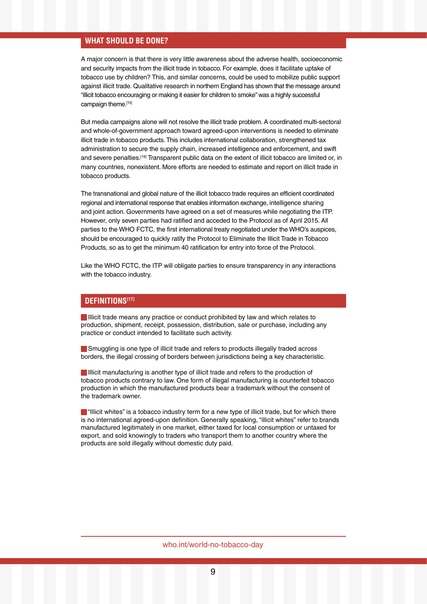# **WHAT SHOULD BE DONE?**

A major concern is that there is very little awareness about the adverse health, socioeconomic and security impacts from the illicit trade in tobacco. For example, does it facilitate uptake of tobacco use by children? This, and similar concerns, could be used to mobilize public support against illicit trade. Qualitative research in northern England has shown that the message around "illicit tobacco encouraging or making it easier for children to smoke" was a highly successful campaign theme.[15]

But media campaigns alone will not resolve the illicit trade problem. A coordinated multi-sectoral and whole-of-government approach toward agreed-upon interventions is needed to eliminate illicit trade in tobacco products. This includes international collaboration, strengthened tax administration to secure the supply chain, increased intelligence and enforcement, and swift and severe penalties.<sup>[16]</sup> Transparent public data on the extent of illicit tobacco are limited or, in many countries, nonexistent. More efforts are needed to estimate and report on illicit trade in tobacco products.

The transnational and global nature of the illicit tobacco trade requires an efficient coordinated regional and international response that enables information exchange, intelligence sharing and joint action. Governments have agreed on a set of measures while negotiating the ITP. However, only seven parties had ratified and acceded to the Protocol as of April 2015. All parties to the WHO FCTC, the first international treaty negotiated under the WHO's auspices, should be encouraged to quickly ratify the Protocol to Eliminate the Illicit Trade in Tobacco Products, so as to get the minimum 40 ratification for entry into force of the Protocol.

Like the WHO FCTC, the ITP will obligate parties to ensure transparency in any interactions with the tobacco industry.

# **DEFINITIONS[17]**

Illicit trade means any practice or conduct prohibited by law and which relates to production, shipment, receipt, possession, distribution, sale or purchase, including any practice or conduct intended to facilitate such activity.

Smuggling is one type of illicit trade and refers to products illegally traded across borders, the illegal crossing of borders between jurisdictions being a key characteristic.

**Illicit manufacturing is another type of illicit trade and refers to the production of** tobacco products contrary to law. One form of illegal manufacturing is counterfeit tobacco production in which the manufactured products bear a trademark without the consent of the trademark owner.

 $\blacksquare$  "Illicit whites" is a tobacco industry term for a new type of illicit trade, but for which there is no international agreed-upon definition. Generally speaking, "illicit whites" refer to brands manufactured legitimately in one market, either taxed for local consumption or untaxed for export, and sold knowingly to traders who transport them to another country where the products are sold illegally without domestic duty paid.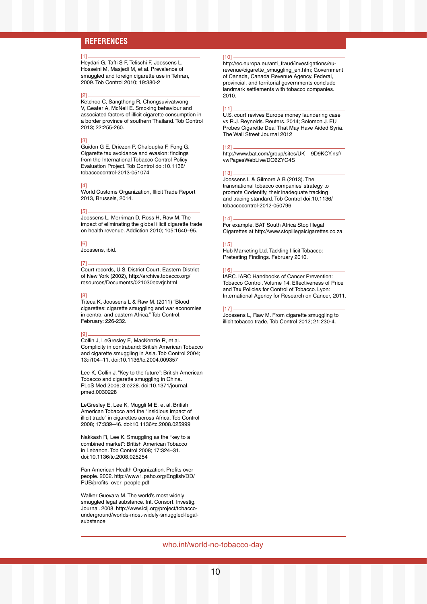# **REFERENCES**

#### [1]

Heydari G, Tafti S F, Telischi F, Joossens L, Hosseini M, Masjedi M, et al. Prevalence of smuggled and foreign cigarette use in Tehran, 2009. Tob Control 2010; 19:380-2

#### [2]

Ketchoo C, Sangthong R, Chongsuvivatwong V, Geater A, McNeil E. Smoking behaviour and associated factors of illicit cigarette consumption in a border province of southern Thailand. Tob Control 2013; 22:255-260.

#### [3]

Guidon G E, Driezen P, Chaloupka F, Fong G. Cigarette tax avoidance and evasion: findings from the International Tobacco Control Policy Evaluation Project. Tob Control doi:10.1136/ tobaccocontrol-2013-051074

#### [4]

World Customs Organization, Illicit Trade Report 2013, Brussels, 2014.

#### [5]

Joossens L, Merriman D, Ross H, Raw M. The impact of eliminating the global illicit cigarette trade on health revenue. Addiction 2010; 105:1640–95.

#### [6]

Joossens, ibid.

#### [7]

Court records, U.S. District Court, Eastern District of New York (2002), http://archive.tobacco.org/ resources/Documents/021030ecvrjr.html

#### [8]

Titeca K, Joossens L & Raw M. (2011) "Blood cigarettes: cigarette smuggling and war economies in central and eastern Africa." Tob Control, February: 226-232.

#### [9]

Collin J, LeGresley E, MacKenzie R, et al. Complicity in contraband: British American Tobacco and cigarette smuggling in Asia. Tob Control 2004; 13:ii104–11. doi:10.1136/tc.2004.009357

Lee K, Collin J. "Key to the future": British American Tobacco and cigarette smuggling in China. PLoS Med 2006; 3:e228. doi:10.1371/journal. pmed.0030228

LeGresley E, Lee K, Muggli M E, et al. British American Tobacco and the "insidious impact of illicit trade" in cigarettes across Africa. Tob Control 2008; 17:339–46. doi:10.1136/tc.2008.025999

Nakkash R, Lee K. Smuggling as the "key to a combined market": British American Tobacco in Lebanon. Tob Control 2008; 17:324–31. doi:10.1136/tc.2008.025254

Pan American Health Organization. Profits over people. 2002. http://www1.paho.org/English/DD/ PUB/profits\_over\_people.pdf

Walker Guevara M. The world's most widely smuggled legal substance. Int. Consort. Investig. Journal. 2008. http://www.icij.org/project/tobaccounderground/worlds-most-widely-smuggled-legalsubstance

#### [10]

http://ec.europa.eu/anti\_fraud/investigations/eurevenue/cigarette\_smuggling\_en.htm; Government of Canada, Canada Revenue Agency. Federal, provincial, and territorial governments conclude landmark settlements with tobacco companies. 2010.

#### [11]

U.S. court revives Europe money laundering case vs R.J. Reynolds. Reuters. 2014; Solomon J. EU Probes Cigarette Deal That May Have Aided Syria. The Wall Street Journal 2012

#### [12]

http://www.bat.com/group/sites/UK\_\_9D9KCY.nsf/ vwPagesWebLive/DO6ZYC4S

#### [13]

Joossens L & Gilmore A B (2013). The transnational tobacco companies' strategy to promote Codentify, their inadequate tracking and tracing standard. Tob Control doi:10.1136/ tobaccocontrol-2012-050796

#### [14]

For example, BAT South Africa Stop Illegal Cigarettes at http://www.stopillegalcigarettes.co.za

#### [15]

Hub Marketing Ltd. Tackling Illicit Tobacco: Pretesting Findings. February 2010.

#### [16]

IARC. IARC Handbooks of Cancer Prevention: Tobacco Control. Volume 14. Effectiveness of Price and Tax Policies for Control of Tobacco. Lyon: International Agency for Research on Cancer, 2011.

#### $[17]$

Joossens L, Raw M. From cigarette smuggling to illicit tobacco trade, Tob Control 2012; 21:230-4.